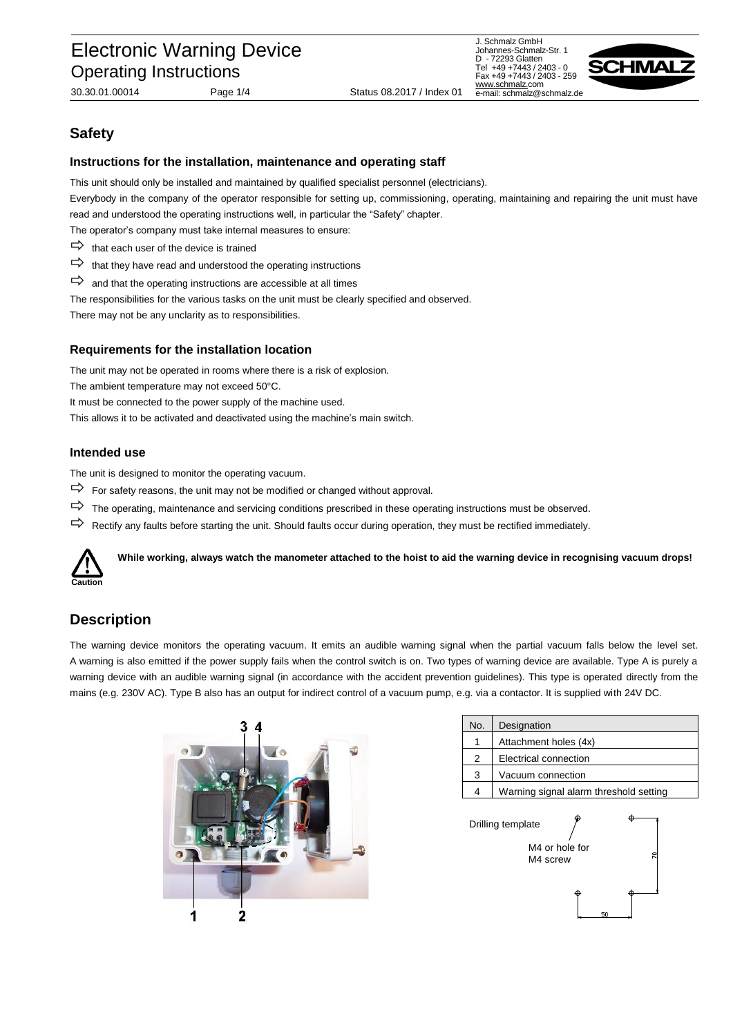# Electronic Warning Device Operating Instructions

30.30.01.00014 Page 1/4 Status 08.2017 / Index 01

J. Schmalz GmbH Johannes-Schmalz-Str. 1 D - 72293 Glatten Tel +49 +7443 / 2403 - 0 Fax +49 +7443 / 2403 - 259 [www.schmalz.c](http://www.schmalz./)om e-mail: schmalz@schmalz.de



# **Safety**

#### **Instructions for the installation, maintenance and operating staff**

This unit should only be installed and maintained by qualified specialist personnel (electricians).

Everybody in the company of the operator responsible for setting up, commissioning, operating, maintaining and repairing the unit must have read and understood the operating instructions well, in particular the "Safety" chapter.

The operator's company must take internal measures to ensure:

- $\Rightarrow$  that each user of the device is trained
- $\Rightarrow$  that they have read and understood the operating instructions
- $\Rightarrow$  and that the operating instructions are accessible at all times
- The responsibilities for the various tasks on the unit must be clearly specified and observed.

There may not be any unclarity as to responsibilities.

#### **Requirements for the installation location**

The unit may not be operated in rooms where there is a risk of explosion.

The ambient temperature may not exceed 50°C.

It must be connected to the power supply of the machine used.

This allows it to be activated and deactivated using the machine's main switch.

#### **Intended use**

The unit is designed to monitor the operating vacuum.

- $\Rightarrow$  For safety reasons, the unit may not be modified or changed without approval.
- $\Rightarrow$  The operating, maintenance and servicing conditions prescribed in these operating instructions must be observed.
- $\Rightarrow$  Rectify any faults before starting the unit. Should faults occur during operation, they must be rectified immediately.



**While working, always watch the manometer attached to the hoist to aid the warning device in recognising vacuum drops!**

## **Description**

The warning device monitors the operating vacuum. It emits an audible warning signal when the partial vacuum falls below the level set. A warning is also emitted if the power supply fails when the control switch is on. Two types of warning device are available. Type A is purely a warning device with an audible warning signal (in accordance with the accident prevention guidelines). This type is operated directly from the mains (e.g. 230V AC). Type B also has an output for indirect control of a vacuum pump, e.g. via a contactor. It is supplied with 24V DC.



| No.               | Designation                            |  |  |  |
|-------------------|----------------------------------------|--|--|--|
| 1                 | Attachment holes (4x)                  |  |  |  |
| 2                 | Electrical connection                  |  |  |  |
| 3                 | Vacuum connection                      |  |  |  |
|                   | Warning signal alarm threshold setting |  |  |  |
| Drilling template |                                        |  |  |  |

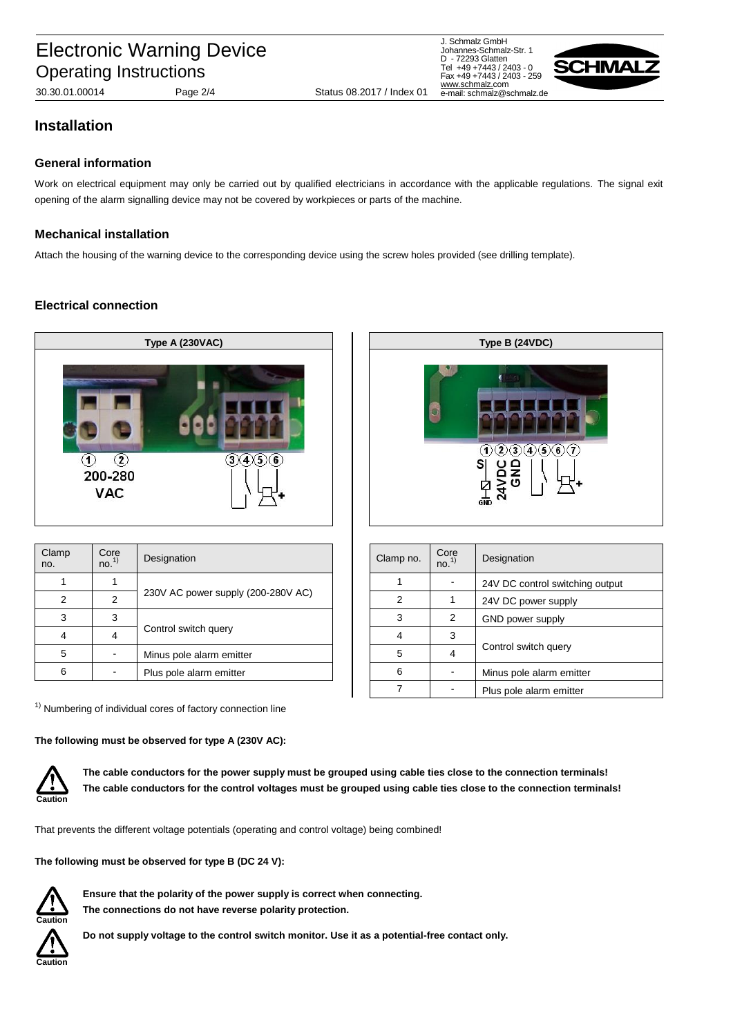J. Schmalz GmbH Johannes-Schmalz-Str. 1 D - 72293 Glatten Tel +49 +7443 / 2403 - 0 Fax +49 +7443 / 2403 - 259 [www.schmalz.c](http://www.schmalz./)om e-mail: schmalz@schmalz.de



### **Installation**

#### **General information**

Work on electrical equipment may only be carried out by qualified electricians in accordance with the applicable regulations. The signal exit opening of the alarm signalling device may not be covered by workpieces or parts of the machine.

#### **Mechanical installation**

Attach the housing of the warning device to the corresponding device using the screw holes provided (see drilling template).

#### **Electrical connection**



| Clamp<br>no. | Core<br>no. <sup>1</sup> | Designation                        |  | Clamp no. | Core<br>no. <sup>1</sup> | Designation              |
|--------------|--------------------------|------------------------------------|--|-----------|--------------------------|--------------------------|
|              |                          | 230V AC power supply (200-280V AC) |  |           |                          | 24V DC control switching |
|              |                          |                                    |  |           |                          | 24V DC power supply      |
|              |                          | Control switch query               |  |           |                          | GND power supply         |
|              | 4                        |                                    |  |           |                          |                          |
| 5            |                          | Minus pole alarm emitter           |  |           | 4                        | Control switch query     |
|              |                          | Plus pole alarm emitter            |  | 6         |                          | Minus pole alarm emitter |

 $1)$  Numbering of individual cores of factory connection line

**The following must be observed for type A (230V AC):**



**The cable conductors for the power supply must be grouped using cable ties close to the connection terminals! The cable conductors for the control voltages must be grouped using cable ties close to the connection terminals!**

That prevents the different voltage potentials (operating and control voltage) being combined!

**The following must be observed for type B (DC 24 V):**



**Ensure that the polarity of the power supply is correct when connecting. The connections do not have reverse polarity protection.**





| Clamp no. | Core<br>no. <sup>1</sup> | Designation                     |  |
|-----------|--------------------------|---------------------------------|--|
|           |                          | 24V DC control switching output |  |
| 2         |                          | 24V DC power supply             |  |
| 3         | 2                        | GND power supply                |  |
| 4         | 3                        |                                 |  |
| 5         | 4                        | Control switch query            |  |
| 6         |                          | Minus pole alarm emitter        |  |
|           |                          | Plus pole alarm emitter         |  |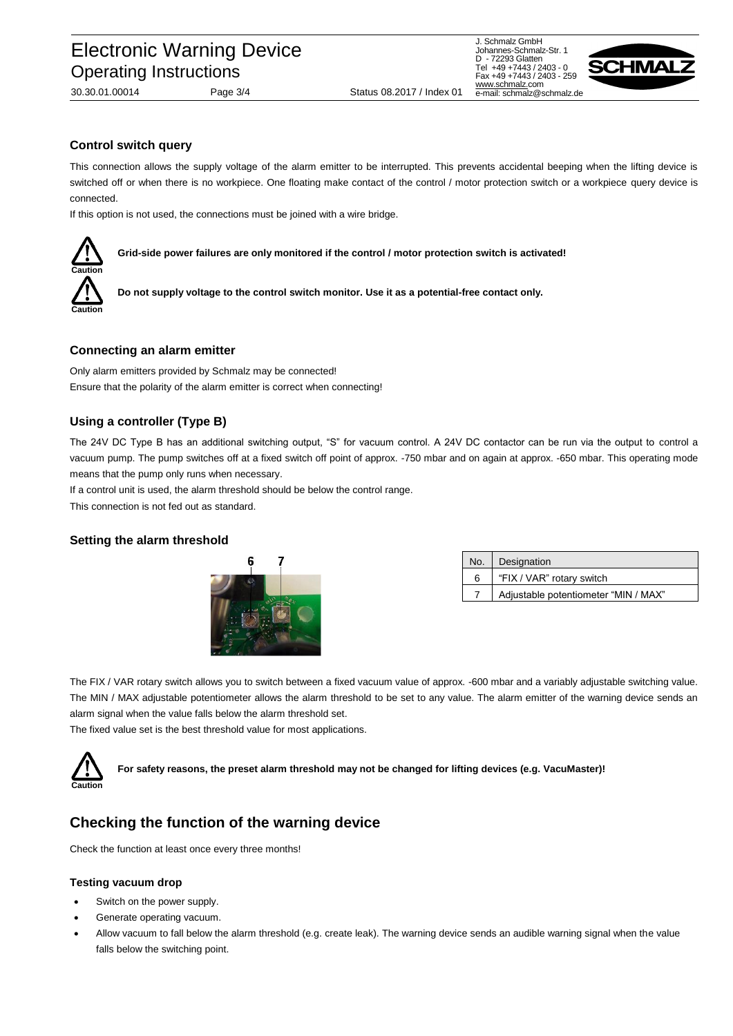J. Schmalz GmbH Johannes-Schmalz-Str. 1 D - 72293 Glatten Tel +49 +7443 / 2403 - 0 Fax +49 +7443 / 2403 - 259 [www.schmalz.c](http://www.schmalz./)om e-mail: schmalz@schmalz.de



**Control switch query**

This connection allows the supply voltage of the alarm emitter to be interrupted. This prevents accidental beeping when the lifting device is switched off or when there is no workpiece. One floating make contact of the control / motor protection switch or a workpiece query device is connected.

If this option is not used, the connections must be joined with a wire bridge.



**Grid-side power failures are only monitored if the control / motor protection switch is activated!**

**Do not supply voltage to the control switch monitor. Use it as a potential-free contact only.**

#### **Connecting an alarm emitter**

Only alarm emitters provided by Schmalz may be connected! Ensure that the polarity of the alarm emitter is correct when connecting!

#### **Using a controller (Type B)**

The 24V DC Type B has an additional switching output, "S" for vacuum control. A 24V DC contactor can be run via the output to control a vacuum pump. The pump switches off at a fixed switch off point of approx. -750 mbar and on again at approx. -650 mbar. This operating mode means that the pump only runs when necessary.

If a control unit is used, the alarm threshold should be below the control range.

This connection is not fed out as standard.

#### **Setting the alarm threshold**



| No. | Designation                          |
|-----|--------------------------------------|
| 6   | "FIX / VAR" rotary switch            |
|     | Adjustable potentiometer "MIN / MAX" |

The FIX / VAR rotary switch allows you to switch between a fixed vacuum value of approx. -600 mbar and a variably adjustable switching value. The MIN / MAX adjustable potentiometer allows the alarm threshold to be set to any value. The alarm emitter of the warning device sends an alarm signal when the value falls below the alarm threshold set.

The fixed value set is the best threshold value for most applications.

#### **Caution For safety reasons, the preset alarm threshold may not be changed for lifting devices (e.g. VacuMaster)!**

### **Checking the function of the warning device**

Check the function at least once every three months!

#### **Testing vacuum drop**

- Switch on the power supply.
- Generate operating vacuum.
- Allow vacuum to fall below the alarm threshold (e.g. create leak). The warning device sends an audible warning signal when the value falls below the switching point.